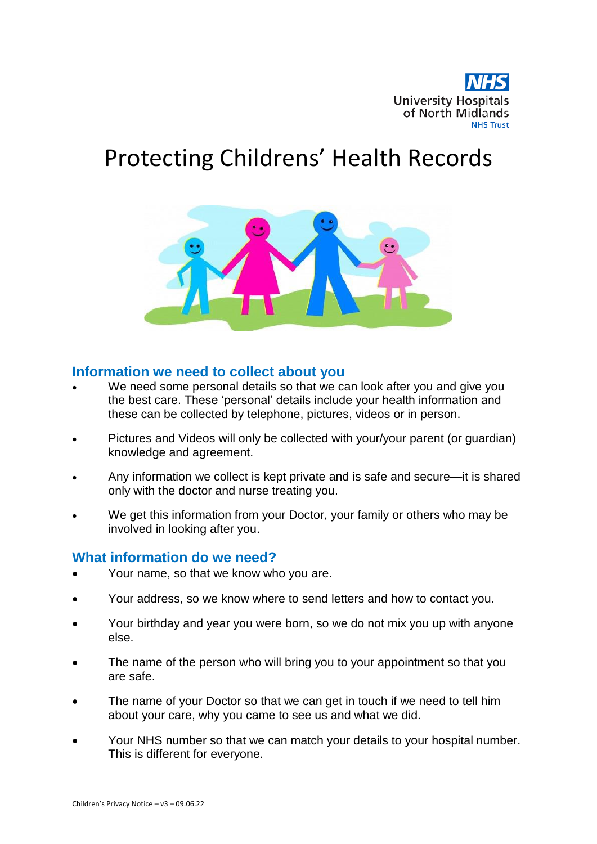

# Protecting Childrens' Health Records



#### **Information we need to collect about you**

- We need some personal details so that we can look after you and give you the best care. These 'personal' details include your health information and these can be collected by telephone, pictures, videos or in person.
- Pictures and Videos will only be collected with your/your parent (or guardian) knowledge and agreement.
- Any information we collect is kept private and is safe and secure—it is shared only with the doctor and nurse treating you.
- We get this information from your Doctor, your family or others who may be involved in looking after you.

## **What information do we need?**

- Your name, so that we know who you are.
- Your address, so we know where to send letters and how to contact you.
- Your birthday and year you were born, so we do not mix you up with anyone else.
- The name of the person who will bring you to your appointment so that you are safe.
- The name of your Doctor so that we can get in touch if we need to tell him about your care, why you came to see us and what we did.
- Your NHS number so that we can match your details to your hospital number. This is different for everyone.